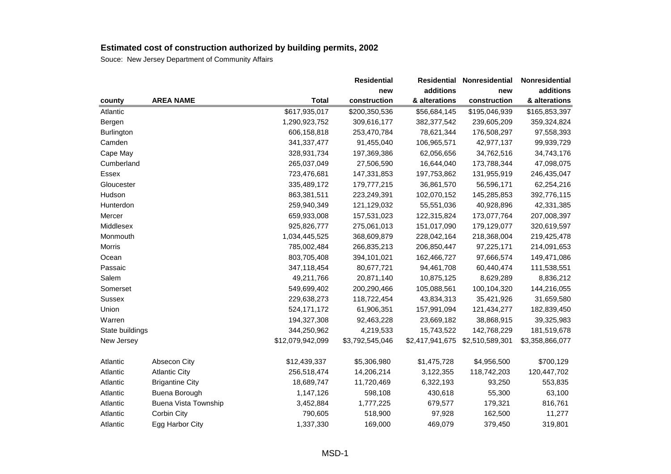|                 |                             |                  | <b>Residential</b> | <b>Residential</b> | Nonresidential  | Nonresidential  |
|-----------------|-----------------------------|------------------|--------------------|--------------------|-----------------|-----------------|
|                 |                             |                  | new                | additions          | new             | additions       |
| county          | <b>AREA NAME</b>            | <b>Total</b>     | construction       | & alterations      | construction    | & alterations   |
| Atlantic        |                             | \$617,935,017    | \$200,350,536      | \$56,684,145       | \$195,046,939   | \$165,853,397   |
| Bergen          |                             | 1,290,923,752    | 309,616,177        | 382, 377, 542      | 239,605,209     | 359,324,824     |
| Burlington      |                             | 606,158,818      | 253,470,784        | 78,621,344         | 176,508,297     | 97,558,393      |
| Camden          |                             | 341, 337, 477    | 91,455,040         | 106,965,571        | 42,977,137      | 99,939,729      |
| Cape May        |                             | 328,931,734      | 197,369,386        | 62,056,656         | 34,762,516      | 34,743,176      |
| Cumberland      |                             | 265,037,049      | 27,506,590         | 16,644,040         | 173,788,344     | 47,098,075      |
| <b>Essex</b>    |                             | 723,476,681      | 147,331,853        | 197,753,862        | 131,955,919     | 246,435,047     |
| Gloucester      |                             | 335,489,172      | 179,777,215        | 36,861,570         | 56,596,171      | 62,254,216      |
| Hudson          |                             | 863,381,511      | 223,249,391        | 102,070,152        | 145,285,853     | 392,776,115     |
| Hunterdon       |                             | 259,940,349      | 121,129,032        | 55,551,036         | 40,928,896      | 42,331,385      |
| Mercer          |                             | 659,933,008      | 157,531,023        | 122,315,824        | 173,077,764     | 207,008,397     |
| Middlesex       |                             | 925,826,777      | 275,061,013        | 151,017,090        | 179,129,077     | 320,619,597     |
| Monmouth        |                             | 1,034,445,525    | 368,609,879        | 228,042,164        | 218,368,004     | 219,425,478     |
| Morris          |                             | 785,002,484      | 266,835,213        | 206,850,447        | 97,225,171      | 214,091,653     |
| Ocean           |                             | 803,705,408      | 394,101,021        | 162,466,727        | 97,666,574      | 149,471,086     |
| Passaic         |                             | 347,118,454      | 80,677,721         | 94,461,708         | 60,440,474      | 111,538,551     |
| Salem           |                             | 49,211,766       | 20,871,140         | 10,875,125         | 8,629,289       | 8,836,212       |
| Somerset        |                             | 549,699,402      | 200,290,466        | 105,088,561        | 100,104,320     | 144,216,055     |
| Sussex          |                             | 229,638,273      | 118,722,454        | 43,834,313         | 35,421,926      | 31,659,580      |
| Union           |                             | 524,171,172      | 61,906,351         | 157,991,094        | 121,434,277     | 182,839,450     |
| Warren          |                             | 194,327,308      | 92,463,228         | 23,669,182         | 38,868,915      | 39,325,983      |
| State buildings |                             | 344,250,962      | 4,219,533          | 15,743,522         | 142,768,229     | 181,519,678     |
| New Jersey      |                             | \$12,079,942,099 | \$3,792,545,046    | \$2,417,941,675    | \$2,510,589,301 | \$3,358,866,077 |
| Atlantic        | Absecon City                | \$12,439,337     | \$5,306,980        | \$1,475,728        | \$4,956,500     | \$700,129       |
| Atlantic        | <b>Atlantic City</b>        | 256,518,474      | 14,206,214         | 3,122,355          | 118,742,203     | 120,447,702     |
| Atlantic        | <b>Brigantine City</b>      | 18,689,747       | 11,720,469         | 6,322,193          | 93,250          | 553,835         |
| Atlantic        | Buena Borough               | 1,147,126        | 598,108            | 430,618            | 55,300          | 63,100          |
| Atlantic        | <b>Buena Vista Township</b> | 3,452,884        | 1,777,225          | 679,577            | 179,321         | 816,761         |
| Atlantic        | Corbin City                 | 790,605          | 518,900            | 97,928             | 162,500         | 11,277          |
| Atlantic        | Egg Harbor City             | 1,337,330        | 169,000            | 469,079            | 379,450         | 319,801         |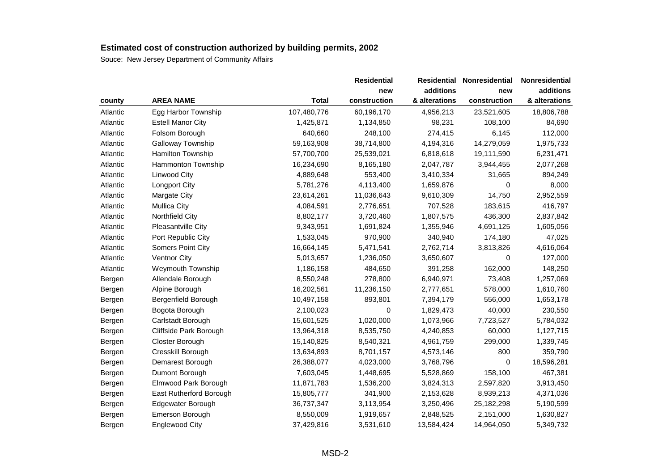|          |                          |              | <b>Residential</b> | <b>Residential</b> | Nonresidential | Nonresidential |
|----------|--------------------------|--------------|--------------------|--------------------|----------------|----------------|
|          |                          |              | new                | additions          | new            | additions      |
| county   | <b>AREA NAME</b>         | <b>Total</b> | construction       | & alterations      | construction   | & alterations  |
| Atlantic | Egg Harbor Township      | 107,480,776  | 60,196,170         | 4,956,213          | 23,521,605     | 18,806,788     |
| Atlantic | <b>Estell Manor City</b> | 1,425,871    | 1,134,850          | 98,231             | 108,100        | 84,690         |
| Atlantic | Folsom Borough           | 640,660      | 248,100            | 274,415            | 6,145          | 112,000        |
| Atlantic | Galloway Township        | 59,163,908   | 38,714,800         | 4,194,316          | 14,279,059     | 1,975,733      |
| Atlantic | Hamilton Township        | 57,700,700   | 25,539,021         | 6,818,618          | 19,111,590     | 6,231,471      |
| Atlantic | Hammonton Township       | 16,234,690   | 8,165,180          | 2,047,787          | 3,944,455      | 2,077,268      |
| Atlantic | Linwood City             | 4,889,648    | 553,400            | 3,410,334          | 31,665         | 894,249        |
| Atlantic | Longport City            | 5,781,276    | 4,113,400          | 1,659,876          | 0              | 8,000          |
| Atlantic | Margate City             | 23,614,261   | 11,036,643         | 9,610,309          | 14,750         | 2,952,559      |
| Atlantic | <b>Mullica City</b>      | 4,084,591    | 2,776,651          | 707,528            | 183,615        | 416,797        |
| Atlantic | Northfield City          | 8,802,177    | 3,720,460          | 1,807,575          | 436,300        | 2,837,842      |
| Atlantic | Pleasantville City       | 9,343,951    | 1,691,824          | 1,355,946          | 4,691,125      | 1,605,056      |
| Atlantic | Port Republic City       | 1,533,045    | 970,900            | 340,940            | 174,180        | 47,025         |
| Atlantic | Somers Point City        | 16,664,145   | 5,471,541          | 2,762,714          | 3,813,826      | 4,616,064      |
| Atlantic | <b>Ventnor City</b>      | 5,013,657    | 1,236,050          | 3,650,607          | 0              | 127,000        |
| Atlantic | Weymouth Township        | 1,186,158    | 484,650            | 391,258            | 162,000        | 148,250        |
| Bergen   | Allendale Borough        | 8,550,248    | 278,800            | 6,940,971          | 73,408         | 1,257,069      |
| Bergen   | Alpine Borough           | 16,202,561   | 11,236,150         | 2,777,651          | 578,000        | 1,610,760      |
| Bergen   | Bergenfield Borough      | 10,497,158   | 893,801            | 7,394,179          | 556,000        | 1,653,178      |
| Bergen   | Bogota Borough           | 2,100,023    | $\Omega$           | 1,829,473          | 40,000         | 230,550        |
| Bergen   | Carlstadt Borough        | 15,601,525   | 1,020,000          | 1,073,966          | 7,723,527      | 5,784,032      |
| Bergen   | Cliffside Park Borough   | 13,964,318   | 8,535,750          | 4,240,853          | 60,000         | 1,127,715      |
| Bergen   | Closter Borough          | 15,140,825   | 8,540,321          | 4,961,759          | 299,000        | 1,339,745      |
| Bergen   | Cresskill Borough        | 13,634,893   | 8,701,157          | 4,573,146          | 800            | 359,790        |
| Bergen   | Demarest Borough         | 26,388,077   | 4,023,000          | 3,768,796          | 0              | 18,596,281     |
| Bergen   | Dumont Borough           | 7,603,045    | 1,448,695          | 5,528,869          | 158,100        | 467,381        |
| Bergen   | Elmwood Park Borough     | 11,871,783   | 1,536,200          | 3,824,313          | 2,597,820      | 3,913,450      |
| Bergen   | East Rutherford Borough  | 15,805,777   | 341,900            | 2,153,628          | 8,939,213      | 4,371,036      |
| Bergen   | Edgewater Borough        | 36,737,347   | 3,113,954          | 3,250,496          | 25,182,298     | 5,190,599      |
| Bergen   | Emerson Borough          | 8,550,009    | 1,919,657          | 2,848,525          | 2,151,000      | 1,630,827      |
| Bergen   | <b>Englewood City</b>    | 37,429,816   | 3,531,610          | 13,584,424         | 14,964,050     | 5,349,732      |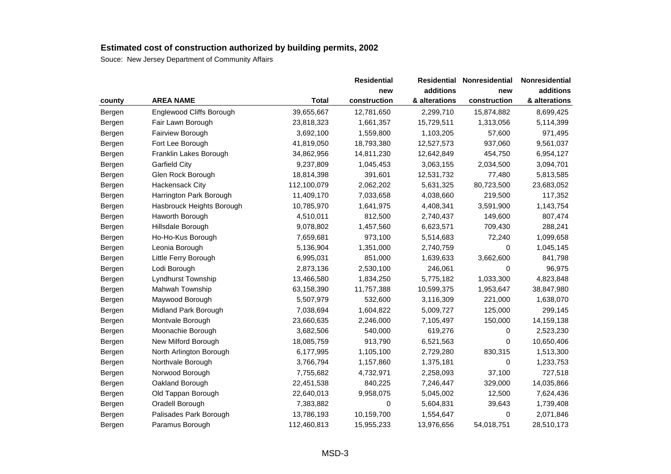|        |                           |              | <b>Residential</b> | <b>Residential</b> | Nonresidential | Nonresidential |
|--------|---------------------------|--------------|--------------------|--------------------|----------------|----------------|
|        |                           |              | new                | additions          | new            | additions      |
| county | <b>AREA NAME</b>          | <b>Total</b> | construction       | & alterations      | construction   | & alterations  |
| Bergen | Englewood Cliffs Borough  | 39,655,667   | 12,781,650         | 2,299,710          | 15,874,882     | 8,699,425      |
| Bergen | Fair Lawn Borough         | 23,818,323   | 1,661,357          | 15,729,511         | 1,313,056      | 5,114,399      |
| Bergen | Fairview Borough          | 3,692,100    | 1,559,800          | 1,103,205          | 57,600         | 971,495        |
| Bergen | Fort Lee Borough          | 41,819,050   | 18,793,380         | 12,527,573         | 937,060        | 9,561,037      |
| Bergen | Franklin Lakes Borough    | 34,862,956   | 14,811,230         | 12,642,849         | 454,750        | 6,954,127      |
| Bergen | <b>Garfield City</b>      | 9,237,809    | 1,045,453          | 3,063,155          | 2,034,500      | 3,094,701      |
| Bergen | Glen Rock Borough         | 18,814,398   | 391,601            | 12,531,732         | 77,480         | 5,813,585      |
| Bergen | <b>Hackensack City</b>    | 112,100,079  | 2,062,202          | 5,631,325          | 80,723,500     | 23,683,052     |
| Bergen | Harrington Park Borough   | 11,409,170   | 7,033,658          | 4,038,660          | 219,500        | 117,352        |
| Bergen | Hasbrouck Heights Borough | 10,785,970   | 1,641,975          | 4,408,341          | 3,591,900      | 1,143,754      |
| Bergen | Haworth Borough           | 4,510,011    | 812,500            | 2,740,437          | 149,600        | 807,474        |
| Bergen | Hillsdale Borough         | 9,078,802    | 1,457,560          | 6,623,571          | 709,430        | 288,241        |
| Bergen | Ho-Ho-Kus Borough         | 7,659,681    | 973,100            | 5,514,683          | 72,240         | 1,099,658      |
| Bergen | Leonia Borough            | 5,136,904    | 1,351,000          | 2,740,759          | 0              | 1,045,145      |
| Bergen | Little Ferry Borough      | 6,995,031    | 851,000            | 1,639,633          | 3,662,600      | 841,798        |
| Bergen | Lodi Borough              | 2,873,136    | 2,530,100          | 246,061            | 0              | 96,975         |
| Bergen | Lyndhurst Township        | 13,466,580   | 1,834,250          | 5,775,182          | 1,033,300      | 4,823,848      |
| Bergen | Mahwah Township           | 63,158,390   | 11,757,388         | 10,599,375         | 1,953,647      | 38,847,980     |
| Bergen | Maywood Borough           | 5,507,979    | 532,600            | 3,116,309          | 221,000        | 1,638,070      |
| Bergen | Midland Park Borough      | 7,038,694    | 1,604,822          | 5,009,727          | 125,000        | 299,145        |
| Bergen | Montvale Borough          | 23,660,635   | 2,246,000          | 7,105,497          | 150,000        | 14,159,138     |
| Bergen | Moonachie Borough         | 3,682,506    | 540,000            | 619,276            | 0              | 2,523,230      |
| Bergen | New Milford Borough       | 18,085,759   | 913,790            | 6,521,563          | 0              | 10,650,406     |
| Bergen | North Arlington Borough   | 6,177,995    | 1,105,100          | 2,729,280          | 830,315        | 1,513,300      |
| Bergen | Northvale Borough         | 3,766,794    | 1,157,860          | 1,375,181          | 0              | 1,233,753      |
| Bergen | Norwood Borough           | 7,755,682    | 4,732,971          | 2,258,093          | 37,100         | 727,518        |
| Bergen | Oakland Borough           | 22,451,538   | 840,225            | 7,246,447          | 329,000        | 14,035,866     |
| Bergen | Old Tappan Borough        | 22,640,013   | 9,958,075          | 5,045,002          | 12,500         | 7,624,436      |
| Bergen | Oradell Borough           | 7,383,882    | 0                  | 5,604,831          | 39,643         | 1,739,408      |
| Bergen | Palisades Park Borough    | 13,786,193   | 10,159,700         | 1,554,647          | 0              | 2,071,846      |
| Bergen | Paramus Borough           | 112,460,813  | 15,955,233         | 13,976,656         | 54,018,751     | 28,510,173     |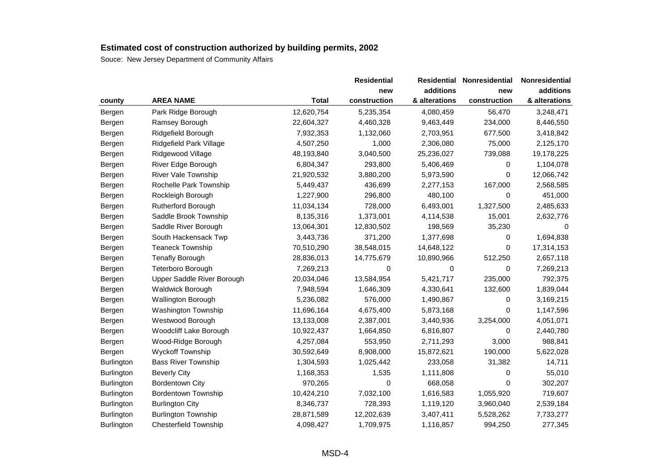|                   |                              |              | <b>Residential</b> | <b>Residential</b> | Nonresidential | Nonresidential |
|-------------------|------------------------------|--------------|--------------------|--------------------|----------------|----------------|
|                   |                              |              | new                | additions          | new            | additions      |
| county            | <b>AREA NAME</b>             | <b>Total</b> | construction       | & alterations      | construction   | & alterations  |
| Bergen            | Park Ridge Borough           | 12,620,754   | 5,235,354          | 4,080,459          | 56,470         | 3,248,471      |
| Bergen            | Ramsey Borough               | 22,604,327   | 4,460,328          | 9,463,449          | 234,000        | 8,446,550      |
| Bergen            | Ridgefield Borough           | 7,932,353    | 1,132,060          | 2,703,951          | 677,500        | 3,418,842      |
| Bergen            | Ridgefield Park Village      | 4,507,250    | 1,000              | 2,306,080          | 75,000         | 2,125,170      |
| Bergen            | Ridgewood Village            | 48,193,840   | 3,040,500          | 25,236,027         | 739,088        | 19,178,225     |
| Bergen            | River Edge Borough           | 6,804,347    | 293,800            | 5,406,469          | 0              | 1,104,078      |
| Bergen            | River Vale Township          | 21,920,532   | 3,880,200          | 5,973,590          | 0              | 12,066,742     |
| Bergen            | Rochelle Park Township       | 5,449,437    | 436,699            | 2,277,153          | 167,000        | 2,568,585      |
| Bergen            | Rockleigh Borough            | 1,227,900    | 296,800            | 480,100            | 0              | 451,000        |
| Bergen            | Rutherford Borough           | 11,034,134   | 728,000            | 6,493,001          | 1,327,500      | 2,485,633      |
| Bergen            | Saddle Brook Township        | 8,135,316    | 1,373,001          | 4,114,538          | 15,001         | 2,632,776      |
| Bergen            | Saddle River Borough         | 13,064,301   | 12,830,502         | 198,569            | 35,230         | 0              |
| Bergen            | South Hackensack Twp         | 3,443,736    | 371,200            | 1,377,698          | 0              | 1,694,838      |
| Bergen            | <b>Teaneck Township</b>      | 70,510,290   | 38,548,015         | 14,648,122         | 0              | 17,314,153     |
| Bergen            | <b>Tenafly Borough</b>       | 28,836,013   | 14,775,679         | 10,890,966         | 512,250        | 2,657,118      |
| Bergen            | Teterboro Borough            | 7,269,213    | 0                  | 0                  | 0              | 7,269,213      |
| Bergen            | Upper Saddle River Borough   | 20,034,046   | 13,584,954         | 5,421,717          | 235,000        | 792,375        |
| Bergen            | Waldwick Borough             | 7,948,594    | 1,646,309          | 4,330,641          | 132,600        | 1,839,044      |
| Bergen            | Wallington Borough           | 5,236,082    | 576,000            | 1,490,867          | 0              | 3,169,215      |
| Bergen            | <b>Washington Township</b>   | 11,696,164   | 4,675,400          | 5,873,168          | 0              | 1,147,596      |
| Bergen            | Westwood Borough             | 13,133,008   | 2,387,001          | 3,440,936          | 3,254,000      | 4,051,071      |
| Bergen            | Woodcliff Lake Borough       | 10,922,437   | 1,664,850          | 6,816,807          | 0              | 2,440,780      |
| Bergen            | Wood-Ridge Borough           | 4,257,084    | 553,950            | 2,711,293          | 3,000          | 988,841        |
| Bergen            | Wyckoff Township             | 30,592,649   | 8,908,000          | 15,872,621         | 190,000        | 5,622,028      |
| Burlington        | <b>Bass River Township</b>   | 1,304,593    | 1,025,442          | 233,058            | 31,382         | 14,711         |
| <b>Burlington</b> | <b>Beverly City</b>          | 1,168,353    | 1,535              | 1,111,808          | 0              | 55,010         |
| <b>Burlington</b> | <b>Bordentown City</b>       | 970,265      | 0                  | 668,058            | 0              | 302,207        |
| <b>Burlington</b> | <b>Bordentown Township</b>   | 10,424,210   | 7,032,100          | 1,616,583          | 1,055,920      | 719,607        |
| <b>Burlington</b> | <b>Burlington City</b>       | 8,346,737    | 728,393            | 1,119,120          | 3,960,040      | 2,539,184      |
| Burlington        | <b>Burlington Township</b>   | 28,871,589   | 12,202,639         | 3,407,411          | 5,528,262      | 7,733,277      |
| Burlington        | <b>Chesterfield Township</b> | 4,098,427    | 1,709,975          | 1,116,857          | 994,250        | 277,345        |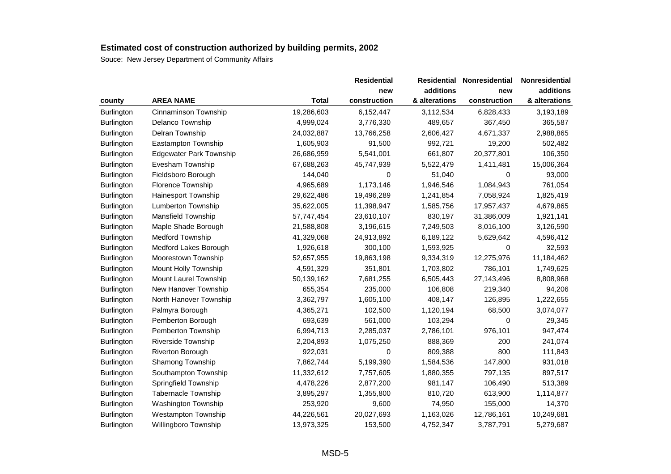|                                |              | <b>Residential</b> | <b>Residential</b> | <b>Nonresidential</b> | Nonresidential |
|--------------------------------|--------------|--------------------|--------------------|-----------------------|----------------|
|                                |              | new                | additions          | new                   | additions      |
| <b>AREA NAME</b>               | <b>Total</b> | construction       | & alterations      | construction          | & alterations  |
| Cinnaminson Township           | 19,286,603   | 6,152,447          | 3,112,534          | 6,828,433             | 3,193,189      |
| Delanco Township               | 4,999,024    | 3,776,330          | 489,657            | 367,450               | 365,587        |
| Delran Township                | 24,032,887   | 13,766,258         | 2,606,427          | 4,671,337             | 2,988,865      |
| Eastampton Township            | 1,605,903    | 91,500             | 992,721            | 19,200                | 502,482        |
| <b>Edgewater Park Township</b> | 26,686,959   | 5,541,001          | 661,807            | 20,377,801            | 106,350        |
| Evesham Township               | 67,688,263   | 45,747,939         | 5,522,479          | 1,411,481             | 15,006,364     |
| Fieldsboro Borough             | 144,040      | 0                  | 51,040             | 0                     | 93,000         |
| Florence Township              | 4,965,689    | 1,173,146          | 1,946,546          | 1,084,943             | 761,054        |
| <b>Hainesport Township</b>     | 29,622,486   | 19,496,289         | 1,241,854          | 7,058,924             | 1,825,419      |
| Lumberton Township             | 35,622,005   | 11,398,947         | 1,585,756          | 17,957,437            | 4,679,865      |
| Mansfield Township             | 57,747,454   | 23,610,107         | 830,197            | 31,386,009            | 1,921,141      |
| Maple Shade Borough            | 21,588,808   | 3,196,615          | 7,249,503          | 8,016,100             | 3,126,590      |
| <b>Medford Township</b>        | 41,329,068   | 24,913,892         | 6,189,122          | 5,629,642             | 4,596,412      |
| Medford Lakes Borough          | 1,926,618    | 300,100            | 1,593,925          | 0                     | 32,593         |
| Moorestown Township            | 52,657,955   | 19,863,198         | 9,334,319          | 12,275,976            | 11,184,462     |
| Mount Holly Township           | 4,591,329    | 351,801            | 1,703,802          | 786,101               | 1,749,625      |
| Mount Laurel Township          | 50,139,162   | 7,681,255          | 6,505,443          | 27,143,496            | 8,808,968      |
| New Hanover Township           | 655,354      | 235,000            | 106,808            | 219,340               | 94,206         |
| North Hanover Township         | 3,362,797    | 1,605,100          | 408,147            | 126,895               | 1,222,655      |
| Palmyra Borough                | 4,365,271    | 102,500            | 1,120,194          | 68,500                | 3,074,077      |
| Pemberton Borough              | 693,639      | 561,000            | 103,294            | 0                     | 29,345         |
| Pemberton Township             | 6,994,713    | 2,285,037          | 2,786,101          | 976,101               | 947,474        |
| Riverside Township             | 2,204,893    | 1,075,250          | 888,369            | 200                   | 241,074        |
| Riverton Borough               | 922,031      | 0                  | 809,388            | 800                   | 111,843        |
| Shamong Township               | 7,862,744    | 5,199,390          | 1,584,536          | 147,800               | 931,018        |
| Southampton Township           | 11,332,612   | 7,757,605          | 1,880,355          | 797,135               | 897,517        |
| Springfield Township           | 4,478,226    | 2,877,200          | 981,147            | 106,490               | 513,389        |
| Tabernacle Township            | 3,895,297    | 1,355,800          | 810,720            | 613,900               | 1,114,877      |
| Washington Township            | 253,920      | 9,600              | 74,950             | 155,000               | 14,370         |
| <b>Westampton Township</b>     | 44,226,561   | 20,027,693         | 1,163,026          | 12,786,161            | 10,249,681     |
| Willingboro Township           | 13,973,325   | 153,500            | 4,752,347          | 3,787,791             | 5,279,687      |
|                                |              |                    |                    |                       |                |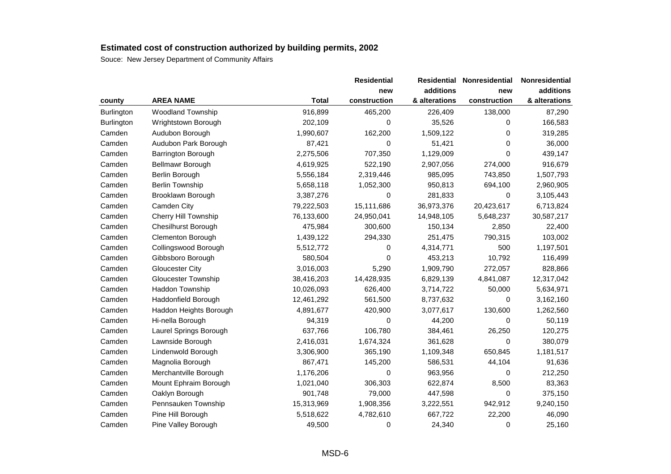|            |                             |              | <b>Residential</b> | <b>Residential</b> | Nonresidential | Nonresidential |  |
|------------|-----------------------------|--------------|--------------------|--------------------|----------------|----------------|--|
|            |                             |              | new                | additions          | new            | additions      |  |
| county     | <b>AREA NAME</b>            | <b>Total</b> | construction       | & alterations      | construction   | & alterations  |  |
| Burlington | <b>Woodland Township</b>    | 916,899      | 465,200            | 226,409            | 138,000        | 87,290         |  |
| Burlington | Wrightstown Borough         | 202,109      | 0                  | 35,526             | 0              | 166,583        |  |
| Camden     | Audubon Borough             | 1,990,607    | 162,200            | 1,509,122          | 0              | 319,285        |  |
| Camden     | Audubon Park Borough        | 87,421       | 0                  | 51,421             | 0              | 36,000         |  |
| Camden     | Barrington Borough          | 2,275,506    | 707,350            | 1,129,009          | 0              | 439,147        |  |
| Camden     | Bellmawr Borough            | 4,619,925    | 522,190            | 2,907,056          | 274,000        | 916,679        |  |
| Camden     | Berlin Borough              | 5,556,184    | 2,319,446          | 985,095            | 743,850        | 1,507,793      |  |
| Camden     | <b>Berlin Township</b>      | 5,658,118    | 1,052,300          | 950,813            | 694,100        | 2,960,905      |  |
| Camden     | Brooklawn Borough           | 3,387,276    | 0                  | 281,833            | 0              | 3,105,443      |  |
| Camden     | Camden City                 | 79,222,503   | 15,111,686         | 36,973,376         | 20,423,617     | 6,713,824      |  |
| Camden     | <b>Cherry Hill Township</b> | 76,133,600   | 24,950,041         | 14,948,105         | 5,648,237      | 30,587,217     |  |
| Camden     | <b>Chesilhurst Borough</b>  | 475,984      | 300,600            | 150,134            | 2,850          | 22,400         |  |
| Camden     | <b>Clementon Borough</b>    | 1,439,122    | 294,330            | 251,475            | 790,315        | 103,002        |  |
| Camden     | Collingswood Borough        | 5,512,772    | 0                  | 4,314,771          | 500            | 1,197,501      |  |
| Camden     | Gibbsboro Borough           | 580,504      | $\Omega$           | 453,213            | 10,792         | 116,499        |  |
| Camden     | <b>Gloucester City</b>      | 3,016,003    | 5,290              | 1,909,790          | 272,057        | 828,866        |  |
| Camden     | Gloucester Township         | 38,416,203   | 14,428,935         | 6,829,139          | 4,841,087      | 12,317,042     |  |
| Camden     | Haddon Township             | 10,026,093   | 626,400            | 3,714,722          | 50,000         | 5,634,971      |  |
| Camden     | Haddonfield Borough         | 12,461,292   | 561,500            | 8,737,632          | 0              | 3,162,160      |  |
| Camden     | Haddon Heights Borough      | 4,891,677    | 420,900            | 3,077,617          | 130,600        | 1,262,560      |  |
| Camden     | Hi-nella Borough            | 94,319       | 0                  | 44,200             | 0              | 50,119         |  |
| Camden     | Laurel Springs Borough      | 637,766      | 106,780            | 384,461            | 26,250         | 120,275        |  |
| Camden     | Lawnside Borough            | 2,416,031    | 1,674,324          | 361,628            | 0              | 380,079        |  |
| Camden     | Lindenwold Borough          | 3,306,900    | 365,190            | 1,109,348          | 650,845        | 1,181,517      |  |
| Camden     | Magnolia Borough            | 867,471      | 145,200            | 586,531            | 44,104         | 91,636         |  |
| Camden     | Merchantville Borough       | 1,176,206    | 0                  | 963,956            | 0              | 212,250        |  |
| Camden     | Mount Ephraim Borough       | 1,021,040    | 306,303            | 622,874            | 8,500          | 83,363         |  |
| Camden     | Oaklyn Borough              | 901,748      | 79,000             | 447,598            | 0              | 375,150        |  |
| Camden     | Pennsauken Township         | 15,313,969   | 1,908,356          | 3,222,551          | 942,912        | 9,240,150      |  |
| Camden     | Pine Hill Borough           | 5,518,622    | 4,782,610          | 667,722            | 22,200         | 46,090         |  |
| Camden     | Pine Valley Borough         | 49,500       | 0                  | 24,340             | 0              | 25,160         |  |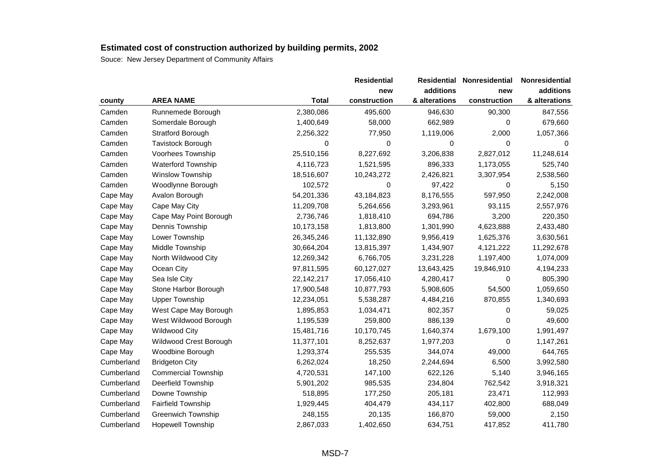|            |                            |              | <b>Residential</b> |               | Residential Nonresidential | Nonresidential |
|------------|----------------------------|--------------|--------------------|---------------|----------------------------|----------------|
|            |                            |              | new                | additions     | new                        | additions      |
| county     | <b>AREA NAME</b>           | <b>Total</b> | construction       | & alterations | construction               | & alterations  |
| Camden     | Runnemede Borough          | 2,380,086    | 495,600            | 946,630       | 90,300                     | 847,556        |
| Camden     | Somerdale Borough          | 1,400,649    | 58,000             | 662,989       | 0                          | 679,660        |
| Camden     | Stratford Borough          | 2,256,322    | 77,950             | 1,119,006     | 2,000                      | 1,057,366      |
| Camden     | Tavistock Borough          | 0            | 0                  | 0             | 0                          | 0              |
| Camden     | Voorhees Township          | 25,510,156   | 8,227,692          | 3,206,838     | 2,827,012                  | 11,248,614     |
| Camden     | Waterford Township         | 4,116,723    | 1,521,595          | 896,333       | 1,173,055                  | 525,740        |
| Camden     | Winslow Township           | 18,516,607   | 10,243,272         | 2,426,821     | 3,307,954                  | 2,538,560      |
| Camden     | Woodlynne Borough          | 102,572      | 0                  | 97,422        | 0                          | 5,150          |
| Cape May   | Avalon Borough             | 54,201,336   | 43,184,823         | 8,176,555     | 597,950                    | 2,242,008      |
| Cape May   | Cape May City              | 11,209,708   | 5,264,656          | 3,293,961     | 93,115                     | 2,557,976      |
| Cape May   | Cape May Point Borough     | 2,736,746    | 1,818,410          | 694,786       | 3,200                      | 220,350        |
| Cape May   | Dennis Township            | 10,173,158   | 1,813,800          | 1,301,990     | 4,623,888                  | 2,433,480      |
| Cape May   | Lower Township             | 26,345,246   | 11,132,890         | 9,956,419     | 1,625,376                  | 3,630,561      |
| Cape May   | Middle Township            | 30,664,204   | 13,815,397         | 1,434,907     | 4,121,222                  | 11,292,678     |
| Cape May   | North Wildwood City        | 12,269,342   | 6,766,705          | 3,231,228     | 1,197,400                  | 1,074,009      |
| Cape May   | Ocean City                 | 97,811,595   | 60,127,027         | 13,643,425    | 19,846,910                 | 4,194,233      |
| Cape May   | Sea Isle City              | 22, 142, 217 | 17,056,410         | 4,280,417     | 0                          | 805,390        |
| Cape May   | Stone Harbor Borough       | 17,900,548   | 10,877,793         | 5,908,605     | 54,500                     | 1,059,650      |
| Cape May   | <b>Upper Township</b>      | 12,234,051   | 5,538,287          | 4,484,216     | 870,855                    | 1,340,693      |
| Cape May   | West Cape May Borough      | 1,895,853    | 1,034,471          | 802,357       | 0                          | 59,025         |
| Cape May   | West Wildwood Borough      | 1,195,539    | 259,800            | 886,139       | 0                          | 49,600         |
| Cape May   | Wildwood City              | 15,481,716   | 10,170,745         | 1,640,374     | 1,679,100                  | 1,991,497      |
| Cape May   | Wildwood Crest Borough     | 11,377,101   | 8,252,637          | 1,977,203     | 0                          | 1,147,261      |
| Cape May   | Woodbine Borough           | 1,293,374    | 255,535            | 344,074       | 49,000                     | 644,765        |
| Cumberland | <b>Bridgeton City</b>      | 6,262,024    | 18,250             | 2,244,694     | 6,500                      | 3,992,580      |
| Cumberland | <b>Commercial Township</b> | 4,720,531    | 147,100            | 622,126       | 5,140                      | 3,946,165      |
| Cumberland | Deerfield Township         | 5,901,202    | 985,535            | 234,804       | 762,542                    | 3,918,321      |
| Cumberland | Downe Township             | 518,895      | 177,250            | 205,181       | 23,471                     | 112,993        |
| Cumberland | <b>Fairfield Township</b>  | 1,929,445    | 404,479            | 434,117       | 402,800                    | 688,049        |
| Cumberland | <b>Greenwich Township</b>  | 248,155      | 20,135             | 166,870       | 59,000                     | 2,150          |
| Cumberland | <b>Hopewell Township</b>   | 2,867,033    | 1,402,650          | 634,751       | 417,852                    | 411,780        |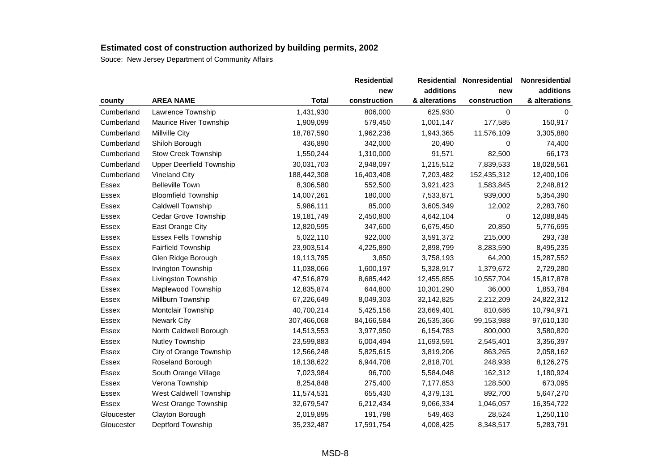|            |                                 |              | <b>Residential</b> | <b>Residential</b> | Nonresidential | Nonresidential |
|------------|---------------------------------|--------------|--------------------|--------------------|----------------|----------------|
|            |                                 |              | new                | additions          | new            | additions      |
| county     | <b>AREA NAME</b>                | <b>Total</b> | construction       | & alterations      | construction   | & alterations  |
| Cumberland | Lawrence Township               | 1,431,930    | 806,000            | 625,930            | 0              | 0              |
| Cumberland | Maurice River Township          | 1,909,099    | 579,450            | 1,001,147          | 177,585        | 150,917        |
| Cumberland | Millville City                  | 18,787,590   | 1,962,236          | 1,943,365          | 11,576,109     | 3,305,880      |
| Cumberland | Shiloh Borough                  | 436,890      | 342,000            | 20,490             | 0              | 74,400         |
| Cumberland | <b>Stow Creek Township</b>      | 1,550,244    | 1,310,000          | 91,571             | 82,500         | 66,173         |
| Cumberland | <b>Upper Deerfield Township</b> | 30,031,703   | 2,948,097          | 1,215,512          | 7,839,533      | 18,028,561     |
| Cumberland | Vineland City                   | 188,442,308  | 16,403,408         | 7,203,482          | 152,435,312    | 12,400,106     |
| Essex      | <b>Belleville Town</b>          | 8,306,580    | 552,500            | 3,921,423          | 1,583,845      | 2,248,812      |
| Essex      | <b>Bloomfield Township</b>      | 14,007,261   | 180,000            | 7,533,871          | 939,000        | 5,354,390      |
| Essex      | Caldwell Township               | 5,986,111    | 85,000             | 3,605,349          | 12,002         | 2,283,760      |
| Essex      | Cedar Grove Township            | 19,181,749   | 2,450,800          | 4,642,104          | 0              | 12,088,845     |
| Essex      | East Orange City                | 12,820,595   | 347,600            | 6,675,450          | 20,850         | 5,776,695      |
| Essex      | <b>Essex Fells Township</b>     | 5,022,110    | 922,000            | 3,591,372          | 215,000        | 293,738        |
| Essex      | <b>Fairfield Township</b>       | 23,903,514   | 4,225,890          | 2,898,799          | 8,283,590      | 8,495,235      |
| Essex      | Glen Ridge Borough              | 19,113,795   | 3,850              | 3,758,193          | 64,200         | 15,287,552     |
| Essex      | Irvington Township              | 11,038,066   | 1,600,197          | 5,328,917          | 1,379,672      | 2,729,280      |
| Essex      | Livingston Township             | 47,516,879   | 8,685,442          | 12,455,855         | 10,557,704     | 15,817,878     |
| Essex      | Maplewood Township              | 12,835,874   | 644,800            | 10,301,290         | 36,000         | 1,853,784      |
| Essex      | Millburn Township               | 67,226,649   | 8,049,303          | 32,142,825         | 2,212,209      | 24,822,312     |
| Essex      | Montclair Township              | 40,700,214   | 5,425,156          | 23,669,401         | 810,686        | 10,794,971     |
| Essex      | <b>Newark City</b>              | 307,466,068  | 84,166,584         | 26,535,366         | 99,153,988     | 97,610,130     |
| Essex      | North Caldwell Borough          | 14,513,553   | 3,977,950          | 6,154,783          | 800,000        | 3,580,820      |
| Essex      | <b>Nutley Township</b>          | 23,599,883   | 6,004,494          | 11,693,591         | 2,545,401      | 3,356,397      |
| Essex      | City of Orange Township         | 12,566,248   | 5,825,615          | 3,819,206          | 863,265        | 2,058,162      |
| Essex      | Roseland Borough                | 18,138,622   | 6,944,708          | 2,818,701          | 248,938        | 8,126,275      |
| Essex      | South Orange Village            | 7,023,984    | 96,700             | 5,584,048          | 162,312        | 1,180,924      |
| Essex      | Verona Township                 | 8,254,848    | 275,400            | 7,177,853          | 128,500        | 673,095        |
| Essex      | West Caldwell Township          | 11,574,531   | 655,430            | 4,379,131          | 892,700        | 5,647,270      |
| Essex      | West Orange Township            | 32,679,547   | 6,212,434          | 9,066,334          | 1,046,057      | 16,354,722     |
| Gloucester | Clayton Borough                 | 2,019,895    | 191,798            | 549,463            | 28,524         | 1,250,110      |
| Gloucester | Deptford Township               | 35,232,487   | 17,591,754         | 4,008,425          | 8,348,517      | 5,283,791      |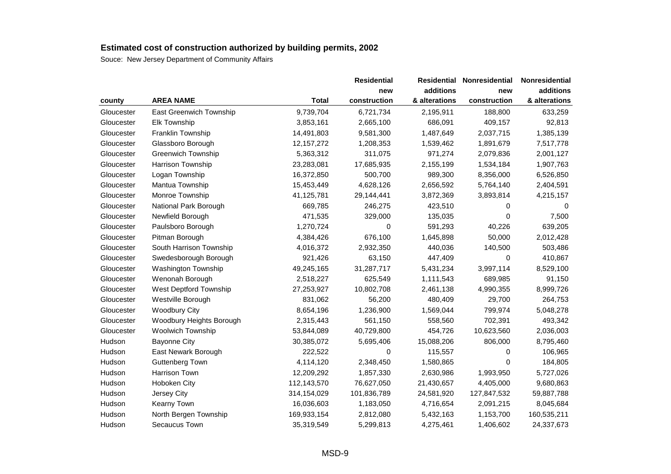|            |                           |              | <b>Residential</b> | Residential   | Nonresidential | Nonresidential |
|------------|---------------------------|--------------|--------------------|---------------|----------------|----------------|
|            |                           |              | new                | additions     | new            | additions      |
| county     | <b>AREA NAME</b>          | <b>Total</b> | construction       | & alterations | construction   | & alterations  |
| Gloucester | East Greenwich Township   | 9,739,704    | 6,721,734          | 2,195,911     | 188,800        | 633,259        |
| Gloucester | Elk Township              | 3,853,161    | 2,665,100          | 686,091       | 409,157        | 92,813         |
| Gloucester | Franklin Township         | 14,491,803   | 9,581,300          | 1,487,649     | 2,037,715      | 1,385,139      |
| Gloucester | Glassboro Borough         | 12, 157, 272 | 1,208,353          | 1,539,462     | 1,891,679      | 7,517,778      |
| Gloucester | <b>Greenwich Township</b> | 5,363,312    | 311,075            | 971,274       | 2,079,836      | 2,001,127      |
| Gloucester | Harrison Township         | 23,283,081   | 17,685,935         | 2,155,199     | 1,534,184      | 1,907,763      |
| Gloucester | Logan Township            | 16,372,850   | 500,700            | 989,300       | 8,356,000      | 6,526,850      |
| Gloucester | Mantua Township           | 15,453,449   | 4,628,126          | 2,656,592     | 5,764,140      | 2,404,591      |
| Gloucester | Monroe Township           | 41,125,781   | 29,144,441         | 3,872,369     | 3,893,814      | 4,215,157      |
| Gloucester | National Park Borough     | 669,785      | 246,275            | 423,510       | 0              |                |
| Gloucester | Newfield Borough          | 471,535      | 329,000            | 135,035       | 0              | 7,500          |
| Gloucester | Paulsboro Borough         | 1,270,724    | 0                  | 591,293       | 40,226         | 639,205        |
| Gloucester | Pitman Borough            | 4,384,426    | 676,100            | 1,645,898     | 50,000         | 2,012,428      |
| Gloucester | South Harrison Township   | 4,016,372    | 2,932,350          | 440,036       | 140,500        | 503,486        |
| Gloucester | Swedesborough Borough     | 921,426      | 63,150             | 447,409       | 0              | 410,867        |
| Gloucester | Washington Township       | 49,245,165   | 31,287,717         | 5,431,234     | 3,997,114      | 8,529,100      |
| Gloucester | Wenonah Borough           | 2,518,227    | 625,549            | 1,111,543     | 689,985        | 91,150         |
| Gloucester | West Deptford Township    | 27,253,927   | 10,802,708         | 2,461,138     | 4,990,355      | 8,999,726      |
| Gloucester | Westville Borough         | 831,062      | 56,200             | 480,409       | 29,700         | 264,753        |
| Gloucester | <b>Woodbury City</b>      | 8,654,196    | 1,236,900          | 1,569,044     | 799,974        | 5,048,278      |
| Gloucester | Woodbury Heights Borough  | 2,315,443    | 561,150            | 558,560       | 702,391        | 493,342        |
| Gloucester | <b>Woolwich Township</b>  | 53,844,089   | 40,729,800         | 454,726       | 10,623,560     | 2,036,003      |
| Hudson     | <b>Bayonne City</b>       | 30,385,072   | 5,695,406          | 15,088,206    | 806,000        | 8,795,460      |
| Hudson     | East Newark Borough       | 222,522      | 0                  | 115,557       | 0              | 106,965        |
| Hudson     | Guttenberg Town           | 4,114,120    | 2,348,450          | 1,580,865     | 0              | 184,805        |
| Hudson     | Harrison Town             | 12,209,292   | 1,857,330          | 2,630,986     | 1,993,950      | 5,727,026      |
| Hudson     | Hoboken City              | 112,143,570  | 76,627,050         | 21,430,657    | 4,405,000      | 9,680,863      |
| Hudson     | Jersey City               | 314,154,029  | 101,836,789        | 24,581,920    | 127,847,532    | 59,887,788     |
| Hudson     | Kearny Town               | 16,036,603   | 1,183,050          | 4,716,654     | 2,091,215      | 8,045,684      |
| Hudson     | North Bergen Township     | 169,933,154  | 2,812,080          | 5,432,163     | 1,153,700      | 160,535,211    |
| Hudson     | Secaucus Town             | 35,319,549   | 5,299,813          | 4,275,461     | 1,406,602      | 24,337,673     |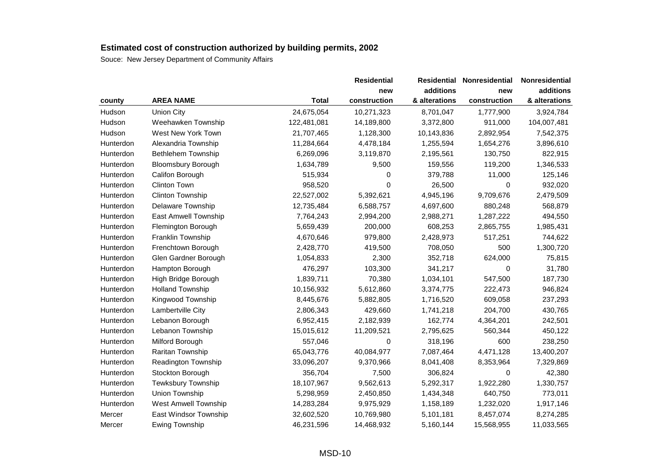|           |                           |              | <b>Residential</b> |               | Residential Nonresidential | Nonresidential |
|-----------|---------------------------|--------------|--------------------|---------------|----------------------------|----------------|
|           |                           |              | new                | additions     | new                        | additions      |
| county    | <b>AREA NAME</b>          | <b>Total</b> | construction       | & alterations | construction               | & alterations  |
| Hudson    | <b>Union City</b>         | 24,675,054   | 10,271,323         | 8,701,047     | 1,777,900                  | 3,924,784      |
| Hudson    | Weehawken Township        | 122,481,081  | 14,189,800         | 3,372,800     | 911,000                    | 104,007,481    |
| Hudson    | West New York Town        | 21,707,465   | 1,128,300          | 10,143,836    | 2,892,954                  | 7,542,375      |
| Hunterdon | Alexandria Township       | 11,284,664   | 4,478,184          | 1,255,594     | 1,654,276                  | 3,896,610      |
| Hunterdon | Bethlehem Township        | 6,269,096    | 3,119,870          | 2,195,561     | 130,750                    | 822,915        |
| Hunterdon | <b>Bloomsbury Borough</b> | 1,634,789    | 9,500              | 159,556       | 119,200                    | 1,346,533      |
| Hunterdon | Califon Borough           | 515,934      | 0                  | 379,788       | 11,000                     | 125,146        |
| Hunterdon | Clinton Town              | 958,520      | 0                  | 26,500        | 0                          | 932,020        |
| Hunterdon | Clinton Township          | 22,527,002   | 5,392,621          | 4,945,196     | 9,709,676                  | 2,479,509      |
| Hunterdon | Delaware Township         | 12,735,484   | 6,588,757          | 4,697,600     | 880,248                    | 568,879        |
| Hunterdon | East Amwell Township      | 7,764,243    | 2,994,200          | 2,988,271     | 1,287,222                  | 494,550        |
| Hunterdon | Flemington Borough        | 5,659,439    | 200,000            | 608,253       | 2,865,755                  | 1,985,431      |
| Hunterdon | Franklin Township         | 4,670,646    | 979,800            | 2,428,973     | 517,251                    | 744,622        |
| Hunterdon | Frenchtown Borough        | 2,428,770    | 419,500            | 708,050       | 500                        | 1,300,720      |
| Hunterdon | Glen Gardner Borough      | 1,054,833    | 2,300              | 352,718       | 624,000                    | 75,815         |
| Hunterdon | Hampton Borough           | 476,297      | 103,300            | 341,217       | 0                          | 31,780         |
| Hunterdon | High Bridge Borough       | 1,839,711    | 70,380             | 1,034,101     | 547,500                    | 187,730        |
| Hunterdon | <b>Holland Township</b>   | 10,156,932   | 5,612,860          | 3,374,775     | 222,473                    | 946,824        |
| Hunterdon | Kingwood Township         | 8,445,676    | 5,882,805          | 1,716,520     | 609,058                    | 237,293        |
| Hunterdon | Lambertville City         | 2,806,343    | 429,660            | 1,741,218     | 204,700                    | 430,765        |
| Hunterdon | Lebanon Borough           | 6,952,415    | 2,182,939          | 162,774       | 4,364,201                  | 242,501        |
| Hunterdon | Lebanon Township          | 15,015,612   | 11,209,521         | 2,795,625     | 560,344                    | 450,122        |
| Hunterdon | Milford Borough           | 557,046      | 0                  | 318,196       | 600                        | 238,250        |
| Hunterdon | Raritan Township          | 65,043,776   | 40,084,977         | 7,087,464     | 4,471,128                  | 13,400,207     |
| Hunterdon | Readington Township       | 33,096,207   | 9,370,966          | 8,041,408     | 8,353,964                  | 7,329,869      |
| Hunterdon | Stockton Borough          | 356,704      | 7,500              | 306,824       | 0                          | 42,380         |
| Hunterdon | <b>Tewksbury Township</b> | 18,107,967   | 9,562,613          | 5,292,317     | 1,922,280                  | 1,330,757      |
| Hunterdon | Union Township            | 5,298,959    | 2,450,850          | 1,434,348     | 640,750                    | 773,011        |
| Hunterdon | West Amwell Township      | 14,283,284   | 9,975,929          | 1,158,189     | 1,232,020                  | 1,917,146      |
| Mercer    | East Windsor Township     | 32,602,520   | 10,769,980         | 5,101,181     | 8,457,074                  | 8,274,285      |
| Mercer    | <b>Ewing Township</b>     | 46,231,596   | 14,468,932         | 5,160,144     | 15,568,955                 | 11,033,565     |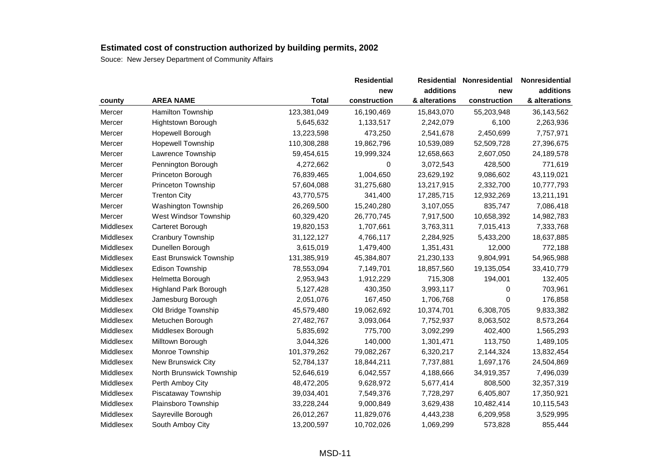|           |                              |              | <b>Residential</b> | Residential   | Nonresidential | Nonresidential |  |
|-----------|------------------------------|--------------|--------------------|---------------|----------------|----------------|--|
|           |                              |              | new                | additions     | new            | additions      |  |
| county    | <b>AREA NAME</b>             | <b>Total</b> | construction       | & alterations | construction   | & alterations  |  |
| Mercer    | Hamilton Township            | 123,381,049  | 16,190,469         | 15,843,070    | 55,203,948     | 36,143,562     |  |
| Mercer    | Hightstown Borough           | 5,645,632    | 1,133,517          | 2,242,079     | 6,100          | 2,263,936      |  |
| Mercer    | Hopewell Borough             | 13,223,598   | 473,250            | 2,541,678     | 2,450,699      | 7,757,971      |  |
| Mercer    | <b>Hopewell Township</b>     | 110,308,288  | 19,862,796         | 10,539,089    | 52,509,728     | 27,396,675     |  |
| Mercer    | Lawrence Township            | 59,454,615   | 19,999,324         | 12,658,663    | 2,607,050      | 24,189,578     |  |
| Mercer    | Pennington Borough           | 4,272,662    | 0                  | 3,072,543     | 428,500        | 771,619        |  |
| Mercer    | Princeton Borough            | 76,839,465   | 1,004,650          | 23,629,192    | 9,086,602      | 43,119,021     |  |
| Mercer    | Princeton Township           | 57,604,088   | 31,275,680         | 13,217,915    | 2,332,700      | 10,777,793     |  |
| Mercer    | <b>Trenton City</b>          | 43,770,575   | 341,400            | 17,285,715    | 12,932,269     | 13,211,191     |  |
| Mercer    | Washington Township          | 26,269,500   | 15,240,280         | 3,107,055     | 835,747        | 7,086,418      |  |
| Mercer    | West Windsor Township        | 60,329,420   | 26,770,745         | 7,917,500     | 10,658,392     | 14,982,783     |  |
| Middlesex | Carteret Borough             | 19,820,153   | 1,707,661          | 3,763,311     | 7,015,413      | 7,333,768      |  |
| Middlesex | Cranbury Township            | 31,122,127   | 4,766,117          | 2,284,925     | 5,433,200      | 18,637,885     |  |
| Middlesex | Dunellen Borough             | 3,615,019    | 1,479,400          | 1,351,431     | 12,000         | 772,188        |  |
| Middlesex | East Brunswick Township      | 131,385,919  | 45,384,807         | 21,230,133    | 9,804,991      | 54,965,988     |  |
| Middlesex | Edison Township              | 78,553,094   | 7,149,701          | 18,857,560    | 19,135,054     | 33,410,779     |  |
| Middlesex | Helmetta Borough             | 2,953,943    | 1,912,229          | 715,308       | 194,001        | 132,405        |  |
| Middlesex | <b>Highland Park Borough</b> | 5,127,428    | 430,350            | 3,993,117     | 0              | 703,961        |  |
| Middlesex | Jamesburg Borough            | 2,051,076    | 167,450            | 1,706,768     | 0              | 176,858        |  |
| Middlesex | Old Bridge Township          | 45,579,480   | 19,062,692         | 10,374,701    | 6,308,705      | 9,833,382      |  |
| Middlesex | Metuchen Borough             | 27,482,767   | 3,093,064          | 7,752,937     | 8,063,502      | 8,573,264      |  |
| Middlesex | Middlesex Borough            | 5,835,692    | 775,700            | 3,092,299     | 402,400        | 1,565,293      |  |
| Middlesex | Milltown Borough             | 3,044,326    | 140,000            | 1,301,471     | 113,750        | 1,489,105      |  |
| Middlesex | Monroe Township              | 101,379,262  | 79,082,267         | 6,320,217     | 2,144,324      | 13,832,454     |  |
| Middlesex | New Brunswick City           | 52,784,137   | 18,844,211         | 7,737,881     | 1,697,176      | 24,504,869     |  |
| Middlesex | North Brunswick Township     | 52,646,619   | 6,042,557          | 4,188,666     | 34,919,357     | 7,496,039      |  |
| Middlesex | Perth Amboy City             | 48,472,205   | 9,628,972          | 5,677,414     | 808,500        | 32,357,319     |  |
| Middlesex | Piscataway Township          | 39,034,401   | 7,549,376          | 7,728,297     | 6,405,807      | 17,350,921     |  |
| Middlesex | Plainsboro Township          | 33,228,244   | 9,000,849          | 3,629,438     | 10,482,414     | 10,115,543     |  |
| Middlesex | Sayreville Borough           | 26,012,267   | 11,829,076         | 4,443,238     | 6,209,958      | 3,529,995      |  |
| Middlesex | South Amboy City             | 13,200,597   | 10,702,026         | 1,069,299     | 573,828        | 855,444        |  |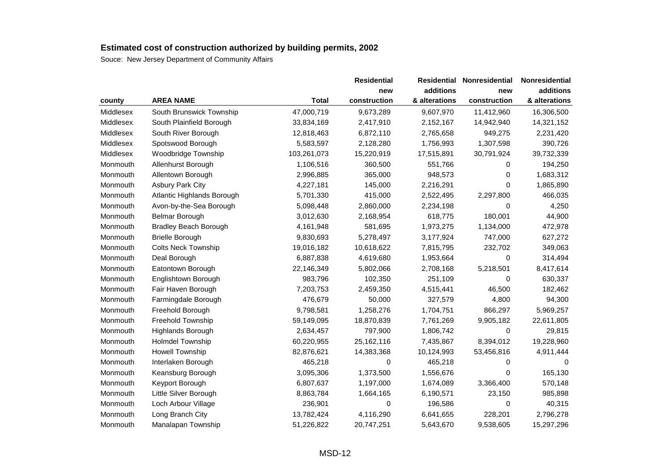|           |                              |              | <b>Residential</b> | <b>Residential</b> | <b>Nonresidential</b> | Nonresidential |
|-----------|------------------------------|--------------|--------------------|--------------------|-----------------------|----------------|
|           |                              |              | new                | additions          | new                   | additions      |
| county    | <b>AREA NAME</b>             | <b>Total</b> | construction       | & alterations      | construction          | & alterations  |
| Middlesex | South Brunswick Township     | 47,000,719   | 9,673,289          | 9,607,970          | 11,412,960            | 16,306,500     |
| Middlesex | South Plainfield Borough     | 33,834,169   | 2,417,910          | 2,152,167          | 14,942,940            | 14,321,152     |
| Middlesex | South River Borough          | 12,818,463   | 6,872,110          | 2,765,658          | 949,275               | 2,231,420      |
| Middlesex | Spotswood Borough            | 5,583,597    | 2,128,280          | 1,756,993          | 1,307,598             | 390,726        |
| Middlesex | Woodbridge Township          | 103,261,073  | 15,220,919         | 17,515,891         | 30,791,924            | 39,732,339     |
| Monmouth  | Allenhurst Borough           | 1,106,516    | 360,500            | 551,766            | 0                     | 194,250        |
| Monmouth  | Allentown Borough            | 2,996,885    | 365,000            | 948,573            | 0                     | 1,683,312      |
| Monmouth  | <b>Asbury Park City</b>      | 4,227,181    | 145,000            | 2,216,291          | 0                     | 1,865,890      |
| Monmouth  | Atlantic Highlands Borough   | 5,701,330    | 415,000            | 2,522,495          | 2,297,800             | 466,035        |
| Monmouth  | Avon-by-the-Sea Borough      | 5,098,448    | 2,860,000          | 2,234,198          | $\Omega$              | 4,250          |
| Monmouth  | Belmar Borough               | 3,012,630    | 2,168,954          | 618,775            | 180,001               | 44,900         |
| Monmouth  | <b>Bradley Beach Borough</b> | 4,161,948    | 581,695            | 1,973,275          | 1,134,000             | 472,978        |
| Monmouth  | <b>Brielle Borough</b>       | 9,830,693    | 5,278,497          | 3,177,924          | 747,000               | 627,272        |
| Monmouth  | <b>Colts Neck Township</b>   | 19,016,182   | 10,618,622         | 7,815,795          | 232,702               | 349,063        |
| Monmouth  | Deal Borough                 | 6,887,838    | 4,619,680          | 1,953,664          | 0                     | 314,494        |
| Monmouth  | Eatontown Borough            | 22,146,349   | 5,802,066          | 2,708,168          | 5,218,501             | 8,417,614      |
| Monmouth  | Englishtown Borough          | 983,796      | 102,350            | 251,109            | 0                     | 630,337        |
| Monmouth  | Fair Haven Borough           | 7,203,753    | 2,459,350          | 4,515,441          | 46,500                | 182,462        |
| Monmouth  | Farmingdale Borough          | 476,679      | 50,000             | 327,579            | 4,800                 | 94,300         |
| Monmouth  | Freehold Borough             | 9,798,581    | 1,258,276          | 1,704,751          | 866,297               | 5,969,257      |
| Monmouth  | Freehold Township            | 59,149,095   | 18,870,839         | 7,761,269          | 9,905,182             | 22,611,805     |
| Monmouth  | Highlands Borough            | 2,634,457    | 797,900            | 1,806,742          | 0                     | 29,815         |
| Monmouth  | <b>Holmdel Township</b>      | 60,220,955   | 25,162,116         | 7,435,867          | 8,394,012             | 19,228,960     |
| Monmouth  | <b>Howell Township</b>       | 82,876,621   | 14,383,368         | 10,124,993         | 53,456,816            | 4,911,444      |
| Monmouth  | Interlaken Borough           | 465,218      | 0                  | 465,218            | 0                     | 0              |
| Monmouth  | Keansburg Borough            | 3,095,306    | 1,373,500          | 1,556,676          | $\Omega$              | 165,130        |
| Monmouth  | Keyport Borough              | 6,807,637    | 1,197,000          | 1,674,089          | 3,366,400             | 570,148        |
| Monmouth  | Little Silver Borough        | 8,863,784    | 1,664,165          | 6,190,571          | 23,150                | 985,898        |
| Monmouth  | Loch Arbour Village          | 236,901      | 0                  | 196,586            | 0                     | 40,315         |
| Monmouth  | Long Branch City             | 13,782,424   | 4,116,290          | 6,641,655          | 228,201               | 2,796,278      |
| Monmouth  | Manalapan Township           | 51,226,822   | 20,747,251         | 5,643,670          | 9,538,605             | 15,297,296     |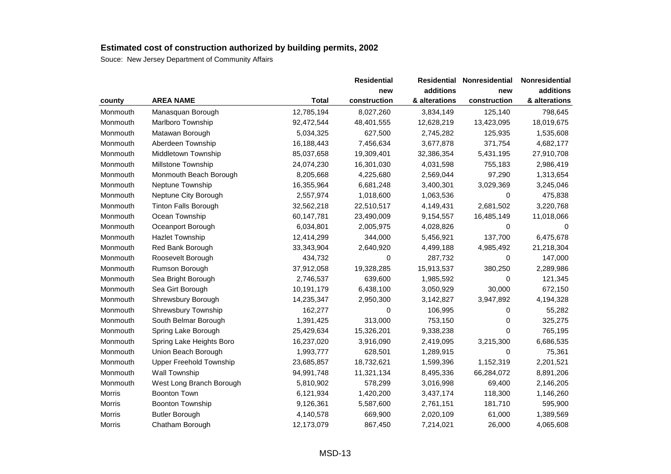|               |                                |              | <b>Residential</b> |               | <b>Residential Nonresidential</b> | Nonresidential |
|---------------|--------------------------------|--------------|--------------------|---------------|-----------------------------------|----------------|
|               |                                |              | new                | additions     | new                               | additions      |
| county        | <b>AREA NAME</b>               | <b>Total</b> | construction       | & alterations | construction                      | & alterations  |
| Monmouth      | Manasquan Borough              | 12,785,194   | 8,027,260          | 3,834,149     | 125,140                           | 798,645        |
| Monmouth      | Marlboro Township              | 92,472,544   | 48,401,555         | 12,628,219    | 13,423,095                        | 18,019,675     |
| Monmouth      | Matawan Borough                | 5,034,325    | 627,500            | 2,745,282     | 125,935                           | 1,535,608      |
| Monmouth      | Aberdeen Township              | 16,188,443   | 7,456,634          | 3,677,878     | 371,754                           | 4,682,177      |
| Monmouth      | Middletown Township            | 85,037,658   | 19,309,401         | 32,386,354    | 5,431,195                         | 27,910,708     |
| Monmouth      | Millstone Township             | 24,074,230   | 16,301,030         | 4,031,598     | 755,183                           | 2,986,419      |
| Monmouth      | Monmouth Beach Borough         | 8,205,668    | 4,225,680          | 2,569,044     | 97,290                            | 1,313,654      |
| Monmouth      | Neptune Township               | 16,355,964   | 6,681,248          | 3,400,301     | 3,029,369                         | 3,245,046      |
| Monmouth      | Neptune City Borough           | 2,557,974    | 1,018,600          | 1,063,536     | 0                                 | 475,838        |
| Monmouth      | <b>Tinton Falls Borough</b>    | 32,562,218   | 22,510,517         | 4,149,431     | 2,681,502                         | 3,220,768      |
| Monmouth      | Ocean Township                 | 60,147,781   | 23,490,009         | 9,154,557     | 16,485,149                        | 11,018,066     |
| Monmouth      | Oceanport Borough              | 6,034,801    | 2,005,975          | 4,028,826     | 0                                 | 0              |
| Monmouth      | <b>Hazlet Township</b>         | 12,414,299   | 344,000            | 5,456,921     | 137,700                           | 6,475,678      |
| Monmouth      | Red Bank Borough               | 33,343,904   | 2,640,920          | 4,499,188     | 4,985,492                         | 21,218,304     |
| Monmouth      | Roosevelt Borough              | 434,732      | 0                  | 287,732       | 0                                 | 147,000        |
| Monmouth      | Rumson Borough                 | 37,912,058   | 19,328,285         | 15,913,537    | 380,250                           | 2,289,986      |
| Monmouth      | Sea Bright Borough             | 2,746,537    | 639,600            | 1,985,592     | 0                                 | 121,345        |
| Monmouth      | Sea Girt Borough               | 10,191,179   | 6,438,100          | 3,050,929     | 30,000                            | 672,150        |
| Monmouth      | Shrewsbury Borough             | 14,235,347   | 2,950,300          | 3,142,827     | 3,947,892                         | 4,194,328      |
| Monmouth      | Shrewsbury Township            | 162,277      | 0                  | 106,995       | 0                                 | 55,282         |
| Monmouth      | South Belmar Borough           | 1,391,425    | 313,000            | 753,150       | 0                                 | 325,275        |
| Monmouth      | Spring Lake Borough            | 25,429,634   | 15,326,201         | 9,338,238     | 0                                 | 765,195        |
| Monmouth      | Spring Lake Heights Boro       | 16,237,020   | 3,916,090          | 2,419,095     | 3,215,300                         | 6,686,535      |
| Monmouth      | Union Beach Borough            | 1,993,777    | 628,501            | 1,289,915     | 0                                 | 75,361         |
| Monmouth      | <b>Upper Freehold Township</b> | 23,685,857   | 18,732,621         | 1,599,396     | 1,152,319                         | 2,201,521      |
| Monmouth      | Wall Township                  | 94,991,748   | 11,321,134         | 8,495,336     | 66,284,072                        | 8,891,206      |
| Monmouth      | West Long Branch Borough       | 5,810,902    | 578,299            | 3,016,998     | 69,400                            | 2,146,205      |
| Morris        | <b>Boonton Town</b>            | 6,121,934    | 1,420,200          | 3,437,174     | 118,300                           | 1,146,260      |
| <b>Morris</b> | <b>Boonton Township</b>        | 9,126,361    | 5,587,600          | 2,761,151     | 181,710                           | 595,900        |
| Morris        | <b>Butler Borough</b>          | 4,140,578    | 669,900            | 2,020,109     | 61,000                            | 1,389,569      |
| Morris        | Chatham Borough                | 12,173,079   | 867,450            | 7,214,021     | 26,000                            | 4,065,608      |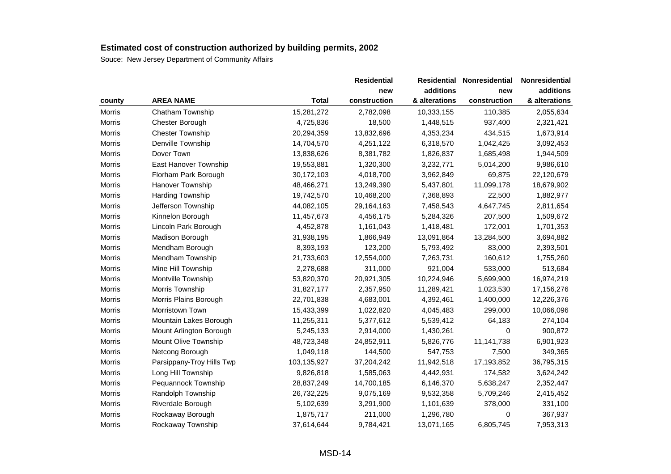|               |                           |              | <b>Residential</b> | Residential   | Nonresidential | Nonresidential |
|---------------|---------------------------|--------------|--------------------|---------------|----------------|----------------|
|               |                           |              | new                | additions     | new            | additions      |
| county        | <b>AREA NAME</b>          | <b>Total</b> | construction       | & alterations | construction   | & alterations  |
| Morris        | Chatham Township          | 15,281,272   | 2,782,098          | 10,333,155    | 110,385        | 2,055,634      |
| <b>Morris</b> | Chester Borough           | 4,725,836    | 18,500             | 1,448,515     | 937,400        | 2,321,421      |
| Morris        | <b>Chester Township</b>   | 20,294,359   | 13,832,696         | 4,353,234     | 434,515        | 1,673,914      |
| Morris        | Denville Township         | 14,704,570   | 4,251,122          | 6,318,570     | 1,042,425      | 3,092,453      |
| Morris        | Dover Town                | 13,838,626   | 8,381,782          | 1,826,837     | 1,685,498      | 1,944,509      |
| <b>Morris</b> | East Hanover Township     | 19,553,881   | 1,320,300          | 3,232,771     | 5,014,200      | 9,986,610      |
| Morris        | Florham Park Borough      | 30,172,103   | 4,018,700          | 3,962,849     | 69,875         | 22,120,679     |
| Morris        | Hanover Township          | 48,466,271   | 13,249,390         | 5,437,801     | 11,099,178     | 18,679,902     |
| Morris        | Harding Township          | 19,742,570   | 10,468,200         | 7,368,893     | 22,500         | 1,882,977      |
| Morris        | Jefferson Township        | 44,082,105   | 29,164,163         | 7,458,543     | 4,647,745      | 2,811,654      |
| Morris        | Kinnelon Borough          | 11,457,673   | 4,456,175          | 5,284,326     | 207,500        | 1,509,672      |
| Morris        | Lincoln Park Borough      | 4,452,878    | 1,161,043          | 1,418,481     | 172,001        | 1,701,353      |
| Morris        | Madison Borough           | 31,938,195   | 1,866,949          | 13,091,864    | 13,284,500     | 3,694,882      |
| Morris        | Mendham Borough           | 8,393,193    | 123,200            | 5,793,492     | 83,000         | 2,393,501      |
| Morris        | Mendham Township          | 21,733,603   | 12,554,000         | 7,263,731     | 160,612        | 1,755,260      |
| Morris        | Mine Hill Township        | 2,278,688    | 311,000            | 921,004       | 533,000        | 513,684        |
| Morris        | Montville Township        | 53,820,370   | 20,921,305         | 10,224,946    | 5,699,900      | 16,974,219     |
| Morris        | Morris Township           | 31,827,177   | 2,357,950          | 11,289,421    | 1,023,530      | 17,156,276     |
| Morris        | Morris Plains Borough     | 22,701,838   | 4,683,001          | 4,392,461     | 1,400,000      | 12,226,376     |
| Morris        | Morristown Town           | 15,433,399   | 1,022,820          | 4,045,483     | 299,000        | 10,066,096     |
| <b>Morris</b> | Mountain Lakes Borough    | 11,255,311   | 5,377,612          | 5,539,412     | 64,183         | 274,104        |
| Morris        | Mount Arlington Borough   | 5,245,133    | 2,914,000          | 1,430,261     | 0              | 900,872        |
| Morris        | Mount Olive Township      | 48,723,348   | 24,852,911         | 5,826,776     | 11,141,738     | 6,901,923      |
| Morris        | Netcong Borough           | 1,049,118    | 144,500            | 547,753       | 7,500          | 349,365        |
| <b>Morris</b> | Parsippany-Troy Hills Twp | 103,135,927  | 37,204,242         | 11,942,518    | 17,193,852     | 36,795,315     |
| Morris        | Long Hill Township        | 9,826,818    | 1,585,063          | 4,442,931     | 174,582        | 3,624,242      |
| Morris        | Pequannock Township       | 28,837,249   | 14,700,185         | 6,146,370     | 5,638,247      | 2,352,447      |
| Morris        | Randolph Township         | 26,732,225   | 9,075,169          | 9,532,358     | 5,709,246      | 2,415,452      |
| Morris        | Riverdale Borough         | 5,102,639    | 3,291,900          | 1,101,639     | 378,000        | 331,100        |
| Morris        | Rockaway Borough          | 1,875,717    | 211,000            | 1,296,780     | 0              | 367,937        |
| Morris        | Rockaway Township         | 37,614,644   | 9,784,421          | 13,071,165    | 6,805,745      | 7,953,313      |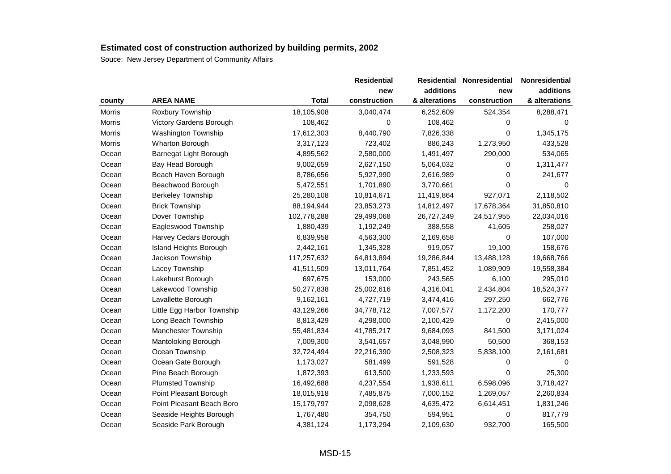|               |                            |              | <b>Residential</b> | <b>Residential</b> | <b>Nonresidential</b> | Nonresidential |
|---------------|----------------------------|--------------|--------------------|--------------------|-----------------------|----------------|
|               |                            |              | new                | additions          | new                   | additions      |
| county        | <b>AREA NAME</b>           | <b>Total</b> | construction       | & alterations      | construction          | & alterations  |
| <b>Morris</b> | Roxbury Township           | 18,105,908   | 3,040,474          | 6,252,609          | 524,354               | 8,288,471      |
| Morris        | Victory Gardens Borough    | 108,462      | 0                  | 108,462            | 0                     | $\Omega$       |
| Morris        | Washington Township        | 17,612,303   | 8,440,790          | 7,826,338          | 0                     | 1,345,175      |
| Morris        | Wharton Borough            | 3,317,123    | 723,402            | 886,243            | 1,273,950             | 433,528        |
| Ocean         | Barnegat Light Borough     | 4,895,562    | 2,580,000          | 1,491,497          | 290,000               | 534,065        |
| Ocean         | Bay Head Borough           | 9,002,659    | 2,627,150          | 5,064,032          | 0                     | 1,311,477      |
| Ocean         | Beach Haven Borough        | 8,786,656    | 5,927,990          | 2,616,989          | 0                     | 241,677        |
| Ocean         | Beachwood Borough          | 5,472,551    | 1,701,890          | 3,770,661          | 0                     | 0              |
| Ocean         | <b>Berkeley Township</b>   | 25,280,108   | 10,814,671         | 11,419,864         | 927,071               | 2,118,502      |
| Ocean         | <b>Brick Township</b>      | 88,194,944   | 23,853,273         | 14,812,497         | 17,678,364            | 31,850,810     |
| Ocean         | Dover Township             | 102,778,288  | 29,499,068         | 26,727,249         | 24,517,955            | 22,034,016     |
| Ocean         | Eagleswood Township        | 1,880,439    | 1,192,249          | 388,558            | 41,605                | 258,027        |
| Ocean         | Harvey Cedars Borough      | 6,839,958    | 4,563,300          | 2,169,658          | 0                     | 107,000        |
| Ocean         | Island Heights Borough     | 2,442,161    | 1,345,328          | 919,057            | 19,100                | 158,676        |
| Ocean         | Jackson Township           | 117,257,632  | 64,813,894         | 19,286,844         | 13,488,128            | 19,668,766     |
| Ocean         | Lacey Township             | 41,511,509   | 13,011,764         | 7,851,452          | 1,089,909             | 19,558,384     |
| Ocean         | Lakehurst Borough          | 697,675      | 153,000            | 243,565            | 6,100                 | 295,010        |
| Ocean         | Lakewood Township          | 50,277,838   | 25,002,616         | 4,316,041          | 2,434,804             | 18,524,377     |
| Ocean         | Lavallette Borough         | 9,162,161    | 4,727,719          | 3,474,416          | 297,250               | 662,776        |
| Ocean         | Little Egg Harbor Township | 43,129,266   | 34,778,712         | 7,007,577          | 1,172,200             | 170,777        |
| Ocean         | Long Beach Township        | 8,813,429    | 4,298,000          | 2,100,429          | 0                     | 2,415,000      |
| Ocean         | <b>Manchester Township</b> | 55,481,834   | 41,785,217         | 9,684,093          | 841,500               | 3,171,024      |
| Ocean         | Mantoloking Borough        | 7,009,300    | 3,541,657          | 3,048,990          | 50,500                | 368,153        |
| Ocean         | Ocean Township             | 32,724,494   | 22,216,390         | 2,508,323          | 5,838,100             | 2,161,681      |
| Ocean         | Ocean Gate Borough         | 1,173,027    | 581,499            | 591,528            | 0                     | 0              |
| Ocean         | Pine Beach Borough         | 1,872,393    | 613,500            | 1,233,593          | 0                     | 25,300         |
| Ocean         | <b>Plumsted Township</b>   | 16,492,688   | 4,237,554          | 1,938,611          | 6,598,096             | 3,718,427      |
| Ocean         | Point Pleasant Borough     | 18,015,918   | 7,485,875          | 7,000,152          | 1,269,057             | 2,260,834      |
| Ocean         | Point Pleasant Beach Boro  | 15,179,797   | 2,098,628          | 4,635,472          | 6,614,451             | 1,831,246      |
| Ocean         | Seaside Heights Borough    | 1,767,480    | 354,750            | 594,951            | 0                     | 817,779        |
| Ocean         | Seaside Park Borough       | 4,381,124    | 1,173,294          | 2,109,630          | 932,700               | 165,500        |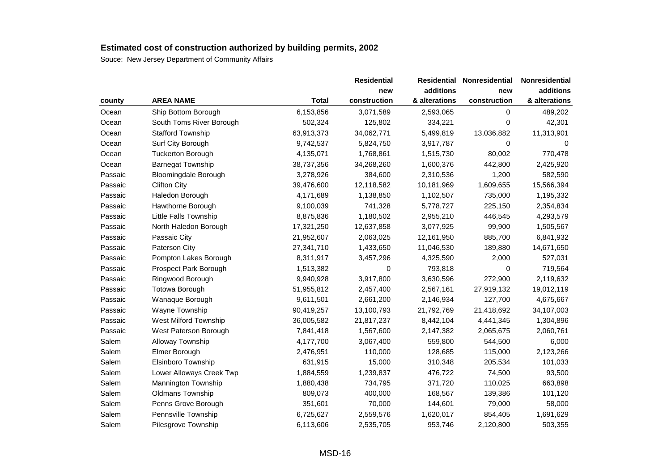|         |                              |            | <b>Residential</b> | <b>Residential</b> | Nonresidential | Nonresidential |
|---------|------------------------------|------------|--------------------|--------------------|----------------|----------------|
|         |                              |            | new                | additions          | new            | additions      |
| county  | <b>AREA NAME</b>             | Total      | construction       | & alterations      | construction   | & alterations  |
| Ocean   | Ship Bottom Borough          | 6,153,856  | 3,071,589          | 2,593,065          | 0              | 489,202        |
| Ocean   | South Toms River Borough     | 502,324    | 125,802            | 334,221            | 0              | 42,301         |
| Ocean   | <b>Stafford Township</b>     | 63,913,373 | 34,062,771         | 5,499,819          | 13,036,882     | 11,313,901     |
| Ocean   | Surf City Borough            | 9,742,537  | 5,824,750          | 3,917,787          | 0              | 0              |
| Ocean   | <b>Tuckerton Borough</b>     | 4,135,071  | 1,768,861          | 1,515,730          | 80,002         | 770,478        |
| Ocean   | <b>Barnegat Township</b>     | 38,737,356 | 34,268,260         | 1,600,376          | 442,800        | 2,425,920      |
| Passaic | <b>Bloomingdale Borough</b>  | 3,278,926  | 384,600            | 2,310,536          | 1,200          | 582,590        |
| Passaic | <b>Clifton City</b>          | 39,476,600 | 12,118,582         | 10,181,969         | 1,609,655      | 15,566,394     |
| Passaic | Haledon Borough              | 4,171,689  | 1,138,850          | 1,102,507          | 735,000        | 1,195,332      |
| Passaic | Hawthorne Borough            | 9,100,039  | 741,328            | 5,778,727          | 225,150        | 2,354,834      |
| Passaic | Little Falls Township        | 8,875,836  | 1,180,502          | 2,955,210          | 446,545        | 4,293,579      |
| Passaic | North Haledon Borough        | 17,321,250 | 12,637,858         | 3,077,925          | 99,900         | 1,505,567      |
| Passaic | Passaic City                 | 21,952,607 | 2,063,025          | 12,161,950         | 885,700        | 6,841,932      |
| Passaic | <b>Paterson City</b>         | 27,341,710 | 1,433,650          | 11,046,530         | 189,880        | 14,671,650     |
| Passaic | Pompton Lakes Borough        | 8,311,917  | 3,457,296          | 4,325,590          | 2,000          | 527,031        |
| Passaic | Prospect Park Borough        | 1,513,382  | 0                  | 793,818            | 0              | 719,564        |
| Passaic | Ringwood Borough             | 9,940,928  | 3,917,800          | 3,630,596          | 272,900        | 2,119,632      |
| Passaic | <b>Totowa Borough</b>        | 51,955,812 | 2,457,400          | 2,567,161          | 27,919,132     | 19,012,119     |
| Passaic | Wanaque Borough              | 9,611,501  | 2,661,200          | 2,146,934          | 127,700        | 4,675,667      |
| Passaic | Wayne Township               | 90,419,257 | 13,100,793         | 21,792,769         | 21,418,692     | 34,107,003     |
| Passaic | <b>West Milford Township</b> | 36,005,582 | 21,817,237         | 8,442,104          | 4,441,345      | 1,304,896      |
| Passaic | West Paterson Borough        | 7,841,418  | 1,567,600          | 2,147,382          | 2,065,675      | 2,060,761      |
| Salem   | <b>Alloway Township</b>      | 4,177,700  | 3,067,400          | 559,800            | 544,500        | 6,000          |
| Salem   | Elmer Borough                | 2,476,951  | 110,000            | 128,685            | 115,000        | 2,123,266      |
| Salem   | Elsinboro Township           | 631,915    | 15,000             | 310,348            | 205,534        | 101,033        |
| Salem   | Lower Alloways Creek Twp     | 1,884,559  | 1,239,837          | 476,722            | 74,500         | 93,500         |
| Salem   | Mannington Township          | 1,880,438  | 734,795            | 371,720            | 110,025        | 663,898        |
| Salem   | Oldmans Township             | 809,073    | 400,000            | 168,567            | 139,386        | 101,120        |
| Salem   | Penns Grove Borough          | 351,601    | 70,000             | 144,601            | 79,000         | 58,000         |
| Salem   | Pennsville Township          | 6,725,627  | 2,559,576          | 1,620,017          | 854,405        | 1,691,629      |
| Salem   | Pilesgrove Township          | 6,113,606  | 2,535,705          | 953,746            | 2,120,800      | 503,355        |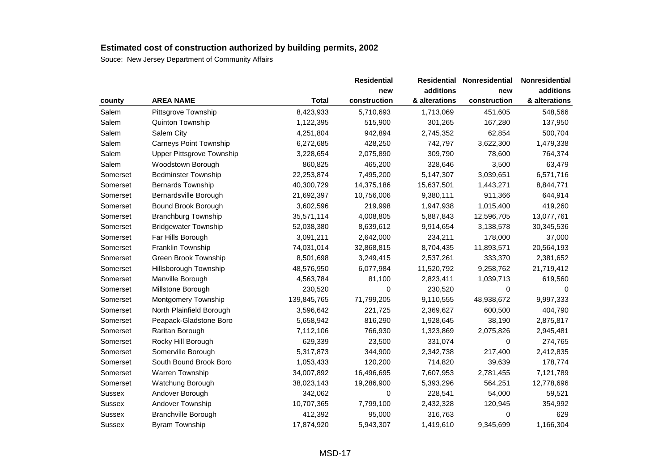|                                  |              | <b>Residential</b> | <b>Residential</b> | Nonresidential | Nonresidential |
|----------------------------------|--------------|--------------------|--------------------|----------------|----------------|
|                                  |              | new                | additions          | new            | additions      |
| <b>AREA NAME</b>                 | <b>Total</b> | construction       | & alterations      | construction   | & alterations  |
| Pittsgrove Township              | 8,423,933    | 5,710,693          | 1,713,069          | 451,605        | 548,566        |
| Quinton Township                 | 1,122,395    | 515,900            | 301,265            | 167,280        | 137,950        |
| Salem City                       | 4,251,804    | 942,894            | 2,745,352          | 62,854         | 500,704        |
| Carneys Point Township           | 6,272,685    | 428,250            | 742,797            | 3,622,300      | 1,479,338      |
| <b>Upper Pittsgrove Township</b> | 3,228,654    | 2,075,890          | 309,790            | 78,600         | 764,374        |
| Woodstown Borough                | 860,825      | 465,200            | 328,646            | 3,500          | 63,479         |
| <b>Bedminster Township</b>       | 22,253,874   | 7,495,200          | 5,147,307          | 3,039,651      | 6,571,716      |
| <b>Bernards Township</b>         | 40,300,729   | 14,375,186         | 15,637,501         | 1,443,271      | 8,844,771      |
| Bernardsville Borough            | 21,692,397   | 10,756,006         | 9,380,111          | 911,366        | 644,914        |
| Bound Brook Borough              | 3,602,596    | 219,998            | 1,947,938          | 1,015,400      | 419,260        |
| <b>Branchburg Township</b>       | 35,571,114   | 4,008,805          | 5,887,843          | 12,596,705     | 13,077,761     |
| <b>Bridgewater Township</b>      | 52,038,380   | 8,639,612          | 9,914,654          | 3,138,578      | 30,345,536     |
| Far Hills Borough                | 3,091,211    | 2,642,000          | 234,211            | 178,000        | 37,000         |
| Franklin Township                | 74,031,014   | 32,868,815         | 8,704,435          | 11,893,571     | 20,564,193     |
| Green Brook Township             | 8,501,698    | 3,249,415          | 2,537,261          | 333,370        | 2,381,652      |
| Hillsborough Township            | 48,576,950   | 6,077,984          | 11,520,792         | 9,258,762      | 21,719,412     |
| Manville Borough                 | 4,563,784    | 81,100             | 2,823,411          | 1,039,713      | 619,560        |
| Millstone Borough                | 230,520      | 0                  | 230,520            | 0              | 0              |
| Montgomery Township              | 139,845,765  | 71,799,205         | 9,110,555          | 48,938,672     | 9,997,333      |
| North Plainfield Borough         | 3,596,642    | 221,725            | 2,369,627          | 600,500        | 404,790        |
| Peapack-Gladstone Boro           | 5,658,942    | 816,290            | 1,928,645          | 38,190         | 2,875,817      |
| Raritan Borough                  | 7,112,106    | 766,930            | 1,323,869          | 2,075,826      | 2,945,481      |
| Rocky Hill Borough               | 629,339      | 23,500             | 331,074            | 0              | 274,765        |
| Somerville Borough               | 5,317,873    | 344,900            | 2,342,738          | 217,400        | 2,412,835      |
| South Bound Brook Boro           | 1,053,433    | 120,200            | 714,820            | 39,639         | 178,774        |
| Warren Township                  | 34,007,892   | 16,496,695         | 7,607,953          | 2,781,455      | 7,121,789      |
| Watchung Borough                 | 38,023,143   | 19,286,900         | 5,393,296          | 564,251        | 12,778,696     |
| Andover Borough                  | 342,062      | 0                  | 228,541            | 54,000         | 59,521         |
| Andover Township                 | 10,707,365   | 7,799,100          | 2,432,328          | 120,945        | 354,992        |
| <b>Branchville Borough</b>       | 412,392      | 95,000             | 316,763            | 0              | 629            |
| Byram Township                   | 17,874,920   | 5,943,307          | 1,419,610          | 9,345,699      | 1,166,304      |
|                                  |              |                    |                    |                |                |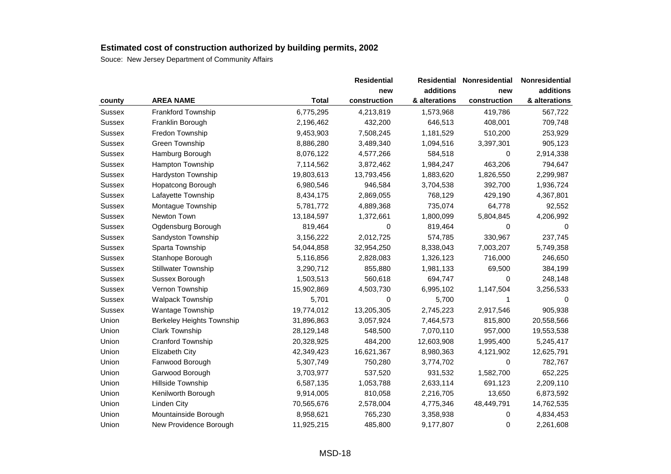|               |                                  |              | <b>Residential</b> | <b>Residential</b> | <b>Nonresidential</b> | Nonresidential |
|---------------|----------------------------------|--------------|--------------------|--------------------|-----------------------|----------------|
|               |                                  |              | new                | additions          | new                   | additions      |
| county        | <b>AREA NAME</b>                 | <b>Total</b> | construction       | & alterations      | construction          | & alterations  |
| <b>Sussex</b> | Frankford Township               | 6,775,295    | 4,213,819          | 1,573,968          | 419,786               | 567,722        |
| Sussex        | Franklin Borough                 | 2,196,462    | 432,200            | 646,513            | 408,001               | 709,748        |
| Sussex        | Fredon Township                  | 9,453,903    | 7,508,245          | 1,181,529          | 510,200               | 253,929        |
| Sussex        | Green Township                   | 8,886,280    | 3,489,340          | 1,094,516          | 3,397,301             | 905,123        |
| Sussex        | Hamburg Borough                  | 8,076,122    | 4,577,266          | 584,518            | 0                     | 2,914,338      |
| Sussex        | Hampton Township                 | 7,114,562    | 3,872,462          | 1,984,247          | 463,206               | 794,647        |
| Sussex        | <b>Hardyston Township</b>        | 19,803,613   | 13,793,456         | 1,883,620          | 1,826,550             | 2,299,987      |
| Sussex        | Hopatcong Borough                | 6,980,546    | 946,584            | 3,704,538          | 392,700               | 1,936,724      |
| Sussex        | Lafayette Township               | 8,434,175    | 2,869,055          | 768,129            | 429,190               | 4,367,801      |
| Sussex        | Montague Township                | 5,781,772    | 4,889,368          | 735,074            | 64,778                | 92,552         |
| Sussex        | Newton Town                      | 13,184,597   | 1,372,661          | 1,800,099          | 5,804,845             | 4,206,992      |
| Sussex        | Ogdensburg Borough               | 819,464      | 0                  | 819,464            | 0                     | 0              |
| Sussex        | Sandyston Township               | 3,156,222    | 2,012,725          | 574,785            | 330,967               | 237,745        |
| Sussex        | Sparta Township                  | 54,044,858   | 32,954,250         | 8,338,043          | 7,003,207             | 5,749,358      |
| Sussex        | Stanhope Borough                 | 5,116,856    | 2,828,083          | 1,326,123          | 716,000               | 246,650        |
| Sussex        | <b>Stillwater Township</b>       | 3,290,712    | 855,880            | 1,981,133          | 69,500                | 384,199        |
| Sussex        | Sussex Borough                   | 1,503,513    | 560,618            | 694,747            | 0                     | 248,148        |
| Sussex        | Vernon Township                  | 15,902,869   | 4,503,730          | 6,995,102          | 1,147,504             | 3,256,533      |
| Sussex        | <b>Walpack Township</b>          | 5,701        | $\Omega$           | 5,700              | 1                     | $\Omega$       |
| Sussex        | Wantage Township                 | 19,774,012   | 13,205,305         | 2,745,223          | 2,917,546             | 905,938        |
| Union         | <b>Berkeley Heights Township</b> | 31,896,863   | 3,057,924          | 7,464,573          | 815,800               | 20,558,566     |
| Union         | <b>Clark Township</b>            | 28,129,148   | 548,500            | 7,070,110          | 957,000               | 19,553,538     |
| Union         | Cranford Township                | 20,328,925   | 484,200            | 12,603,908         | 1,995,400             | 5,245,417      |
| Union         | <b>Elizabeth City</b>            | 42,349,423   | 16,621,367         | 8,980,363          | 4,121,902             | 12,625,791     |
| Union         | Fanwood Borough                  | 5,307,749    | 750,280            | 3,774,702          | 0                     | 782,767        |
| Union         | Garwood Borough                  | 3,703,977    | 537,520            | 931,532            | 1,582,700             | 652,225        |
| Union         | Hillside Township                | 6,587,135    | 1,053,788          | 2,633,114          | 691,123               | 2,209,110      |
| Union         | Kenilworth Borough               | 9,914,005    | 810,058            | 2,216,705          | 13,650                | 6,873,592      |
| Union         | Linden City                      | 70,565,676   | 2,578,004          | 4,775,346          | 48,449,791            | 14,762,535     |
| Union         | Mountainside Borough             | 8,958,621    | 765,230            | 3,358,938          | 0                     | 4,834,453      |
| Union         | New Providence Borough           | 11,925,215   | 485,800            | 9,177,807          | 0                     | 2,261,608      |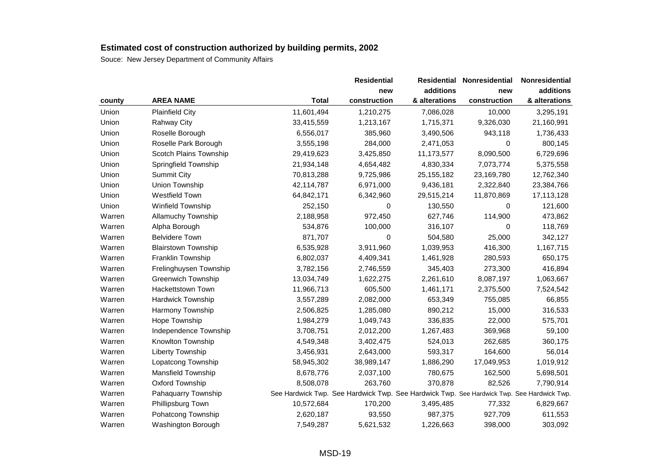|        |                            |              | <b>Residential</b>                                                                        | <b>Residential</b> | <b>Nonresidential</b> | Nonresidential |
|--------|----------------------------|--------------|-------------------------------------------------------------------------------------------|--------------------|-----------------------|----------------|
|        |                            |              | new                                                                                       | additions          | new                   | additions      |
| county | <b>AREA NAME</b>           | <b>Total</b> | construction                                                                              | & alterations      | construction          | & alterations  |
| Union  | <b>Plainfield City</b>     | 11,601,494   | 1,210,275                                                                                 | 7,086,028          | 10,000                | 3,295,191      |
| Union  | <b>Rahway City</b>         | 33,415,559   | 1,213,167                                                                                 | 1,715,371          | 9,326,030             | 21,160,991     |
| Union  | Roselle Borough            | 6,556,017    | 385,960                                                                                   | 3,490,506          | 943,118               | 1,736,433      |
| Union  | Roselle Park Borough       | 3,555,198    | 284,000                                                                                   | 2,471,053          | 0                     | 800,145        |
| Union  | Scotch Plains Township     | 29,419,623   | 3,425,850                                                                                 | 11,173,577         | 8,090,500             | 6,729,696      |
| Union  | Springfield Township       | 21,934,148   | 4,654,482                                                                                 | 4,830,334          | 7,073,774             | 5,375,558      |
| Union  | <b>Summit City</b>         | 70,813,288   | 9,725,986                                                                                 | 25, 155, 182       | 23,169,780            | 12,762,340     |
| Union  | Union Township             | 42,114,787   | 6,971,000                                                                                 | 9,436,181          | 2,322,840             | 23,384,766     |
| Union  | Westfield Town             | 64,842,171   | 6,342,960                                                                                 | 29,515,214         | 11,870,869            | 17,113,128     |
| Union  | Winfield Township          | 252,150      | 0                                                                                         | 130,550            | 0                     | 121,600        |
| Warren | Allamuchy Township         | 2,188,958    | 972,450                                                                                   | 627,746            | 114,900               | 473,862        |
| Warren | Alpha Borough              | 534,876      | 100,000                                                                                   | 316,107            | 0                     | 118,769        |
| Warren | <b>Belvidere Town</b>      | 871,707      | 0                                                                                         | 504,580            | 25,000                | 342,127        |
| Warren | <b>Blairstown Township</b> | 6,535,928    | 3,911,960                                                                                 | 1,039,953          | 416,300               | 1,167,715      |
| Warren | Franklin Township          | 6,802,037    | 4,409,341                                                                                 | 1,461,928          | 280,593               | 650,175        |
| Warren | Frelinghuysen Township     | 3,782,156    | 2,746,559                                                                                 | 345,403            | 273,300               | 416,894        |
| Warren | <b>Greenwich Township</b>  | 13,034,749   | 1,622,275                                                                                 | 2,261,610          | 8,087,197             | 1,063,667      |
| Warren | Hackettstown Town          | 11,966,713   | 605,500                                                                                   | 1,461,171          | 2,375,500             | 7,524,542      |
| Warren | Hardwick Township          | 3,557,289    | 2,082,000                                                                                 | 653,349            | 755,085               | 66,855         |
| Warren | Harmony Township           | 2,506,825    | 1,285,080                                                                                 | 890,212            | 15,000                | 316,533        |
| Warren | Hope Township              | 1,984,279    | 1,049,743                                                                                 | 336,835            | 22,000                | 575,701        |
| Warren | Independence Township      | 3,708,751    | 2,012,200                                                                                 | 1,267,483          | 369,968               | 59,100         |
| Warren | Knowlton Township          | 4,549,348    | 3,402,475                                                                                 | 524,013            | 262,685               | 360,175        |
| Warren | <b>Liberty Township</b>    | 3,456,931    | 2,643,000                                                                                 | 593,317            | 164,600               | 56,014         |
| Warren | Lopatcong Township         | 58,945,302   | 38,989,147                                                                                | 1,886,290          | 17,049,953            | 1,019,912      |
| Warren | Mansfield Township         | 8,678,776    | 2,037,100                                                                                 | 780,675            | 162,500               | 5,698,501      |
| Warren | Oxford Township            | 8,508,078    | 263,760                                                                                   | 370,878            | 82,526                | 7,790,914      |
| Warren | Pahaquarry Township        |              | See Hardwick Twp. See Hardwick Twp. See Hardwick Twp. See Hardwick Twp. See Hardwick Twp. |                    |                       |                |
| Warren | Phillipsburg Town          | 10,572,684   | 170,200                                                                                   | 3,495,485          | 77,332                | 6,829,667      |
| Warren | Pohatcong Township         | 2,620,187    | 93,550                                                                                    | 987,375            | 927,709               | 611,553        |
| Warren | Washington Borough         | 7,549,287    | 5,621,532                                                                                 | 1,226,663          | 398,000               | 303,092        |